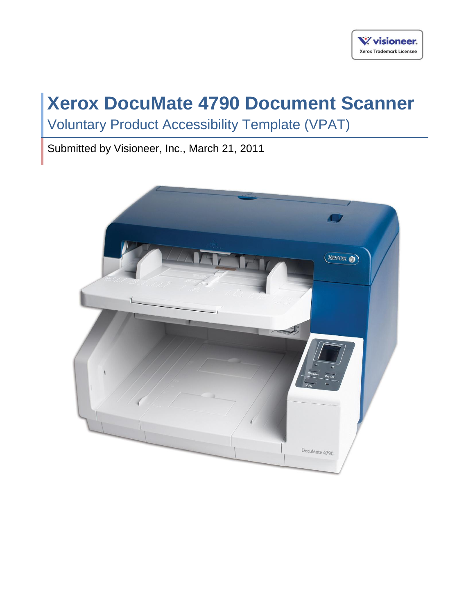# **Xerox DocuMate 4790 Document Scanner**

Voluntary Product Accessibility Template (VPAT)

Submitted by Visioneer, Inc., March 21, 2011

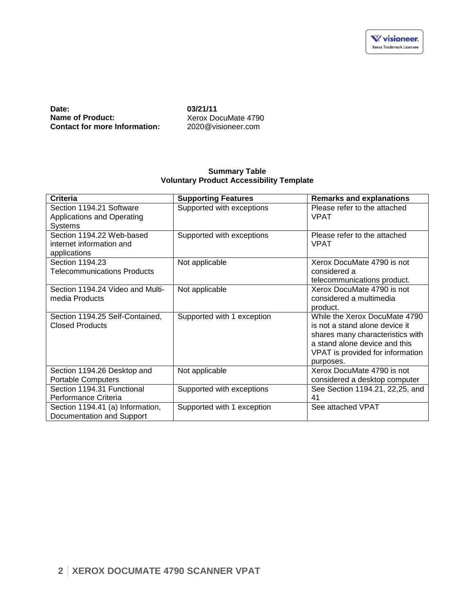**Date:** 03/21/11<br> **Name of Product:** 2008 Xerox Do **Contact for more Information:** 

Xerox DocuMate 4790<br>2020@visioneer.com

#### **Summary Table Voluntary Product Accessibility Template**

| <b>Criteria</b>                                                       | <b>Supporting Features</b> | <b>Remarks and explanations</b>                                                                                                                                                       |
|-----------------------------------------------------------------------|----------------------------|---------------------------------------------------------------------------------------------------------------------------------------------------------------------------------------|
| Section 1194.21 Software<br>Applications and Operating<br>Systems     | Supported with exceptions  | Please refer to the attached<br><b>VPAT</b>                                                                                                                                           |
| Section 1194.22 Web-based<br>internet information and<br>applications | Supported with exceptions  | Please refer to the attached<br><b>VPAT</b>                                                                                                                                           |
| Section 1194.23<br>Telecommunications Products                        | Not applicable             | Xerox DocuMate 4790 is not<br>considered a<br>telecommunications product.                                                                                                             |
| Section 1194.24 Video and Multi-<br>media Products                    | Not applicable             | Xerox DocuMate 4790 is not<br>considered a multimedia<br>product.                                                                                                                     |
| Section 1194.25 Self-Contained,<br><b>Closed Products</b>             | Supported with 1 exception | While the Xerox DocuMate 4790<br>is not a stand alone device it<br>shares many characteristics with<br>a stand alone device and this<br>VPAT is provided for information<br>purposes. |
| Section 1194.26 Desktop and<br><b>Portable Computers</b>              | Not applicable             | Xerox DocuMate 4790 is not<br>considered a desktop computer                                                                                                                           |
| Section 1194.31 Functional<br>Performance Criteria                    | Supported with exceptions  | See Section 1194.21, 22,25, and<br>41                                                                                                                                                 |
| Section 1194.41 (a) Information,<br>Documentation and Support         | Supported with 1 exception | See attached VPAT                                                                                                                                                                     |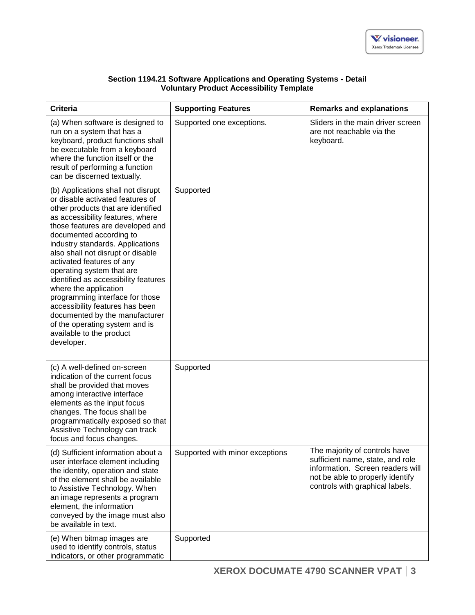| Section 1194.21 Software Applications and Operating Systems - Detail |
|----------------------------------------------------------------------|
| <b>Voluntary Product Accessibility Template</b>                      |

| <b>Criteria</b>                                                                                                                                                                                                                                                                                                                                                                                                                                                                                                                                                                                         | <b>Supporting Features</b>      | <b>Remarks and explanations</b>                                                                                                                                              |
|---------------------------------------------------------------------------------------------------------------------------------------------------------------------------------------------------------------------------------------------------------------------------------------------------------------------------------------------------------------------------------------------------------------------------------------------------------------------------------------------------------------------------------------------------------------------------------------------------------|---------------------------------|------------------------------------------------------------------------------------------------------------------------------------------------------------------------------|
| (a) When software is designed to<br>run on a system that has a<br>keyboard, product functions shall<br>be executable from a keyboard<br>where the function itself or the<br>result of performing a function<br>can be discerned textually.                                                                                                                                                                                                                                                                                                                                                              | Supported one exceptions.       | Sliders in the main driver screen<br>are not reachable via the<br>keyboard.                                                                                                  |
| (b) Applications shall not disrupt<br>or disable activated features of<br>other products that are identified<br>as accessibility features, where<br>those features are developed and<br>documented according to<br>industry standards. Applications<br>also shall not disrupt or disable<br>activated features of any<br>operating system that are<br>identified as accessibility features<br>where the application<br>programming interface for those<br>accessibility features has been<br>documented by the manufacturer<br>of the operating system and is<br>available to the product<br>developer. | Supported                       |                                                                                                                                                                              |
| (c) A well-defined on-screen<br>indication of the current focus<br>shall be provided that moves<br>among interactive interface<br>elements as the input focus<br>changes. The focus shall be<br>programmatically exposed so that<br>Assistive Technology can track<br>focus and focus changes.                                                                                                                                                                                                                                                                                                          | Supported                       |                                                                                                                                                                              |
| (d) Sufficient information about a<br>user interface element including<br>the identity, operation and state<br>of the element shall be available<br>to Assistive Technology. When<br>an image represents a program<br>element, the information<br>conveyed by the image must also<br>be available in text.                                                                                                                                                                                                                                                                                              | Supported with minor exceptions | The majority of controls have<br>sufficient name, state, and role<br>information. Screen readers will<br>not be able to properly identify<br>controls with graphical labels. |
| (e) When bitmap images are<br>used to identify controls, status<br>indicators, or other programmatic                                                                                                                                                                                                                                                                                                                                                                                                                                                                                                    | Supported                       |                                                                                                                                                                              |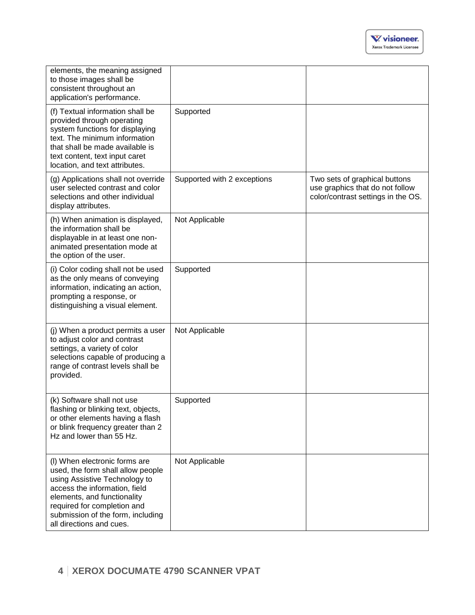| elements, the meaning assigned<br>to those images shall be<br>consistent throughout an<br>application's performance.                                                                                                                                                |                             |                                                                                                        |
|---------------------------------------------------------------------------------------------------------------------------------------------------------------------------------------------------------------------------------------------------------------------|-----------------------------|--------------------------------------------------------------------------------------------------------|
| (f) Textual information shall be<br>provided through operating<br>system functions for displaying<br>text. The minimum information<br>that shall be made available is<br>text content, text input caret<br>location, and text attributes.                           | Supported                   |                                                                                                        |
| (g) Applications shall not override<br>user selected contrast and color<br>selections and other individual<br>display attributes.                                                                                                                                   | Supported with 2 exceptions | Two sets of graphical buttons<br>use graphics that do not follow<br>color/contrast settings in the OS. |
| (h) When animation is displayed,<br>the information shall be<br>displayable in at least one non-<br>animated presentation mode at<br>the option of the user.                                                                                                        | Not Applicable              |                                                                                                        |
| (i) Color coding shall not be used<br>as the only means of conveying<br>information, indicating an action,<br>prompting a response, or<br>distinguishing a visual element.                                                                                          | Supported                   |                                                                                                        |
| (j) When a product permits a user<br>to adjust color and contrast<br>settings, a variety of color<br>selections capable of producing a<br>range of contrast levels shall be<br>provided.                                                                            | Not Applicable              |                                                                                                        |
| (k) Software shall not use<br>flashing or blinking text, objects,<br>or other elements having a flash<br>or blink frequency greater than 2<br>Hz and lower than 55 Hz.                                                                                              | Supported                   |                                                                                                        |
| (I) When electronic forms are<br>used, the form shall allow people<br>using Assistive Technology to<br>access the information, field<br>elements, and functionality<br>required for completion and<br>submission of the form, including<br>all directions and cues. | Not Applicable              |                                                                                                        |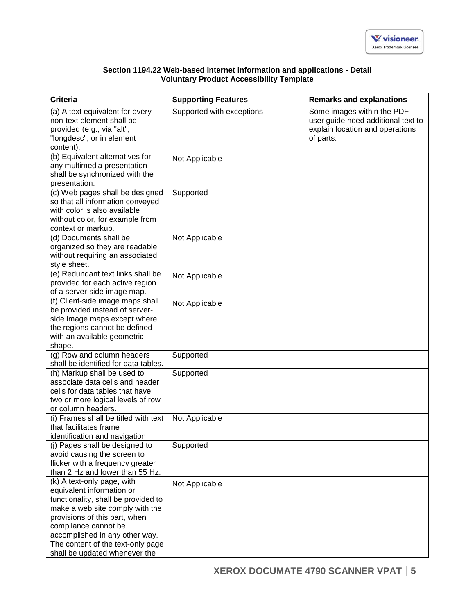| Section 1194.22 Web-based Internet information and applications - Detail |  |
|--------------------------------------------------------------------------|--|
| <b>Voluntary Product Accessibility Template</b>                          |  |

| <b>Criteria</b>                                                                                                                                                                                                                                                                                    | <b>Supporting Features</b> | <b>Remarks and explanations</b>                                                                                  |
|----------------------------------------------------------------------------------------------------------------------------------------------------------------------------------------------------------------------------------------------------------------------------------------------------|----------------------------|------------------------------------------------------------------------------------------------------------------|
| (a) A text equivalent for every<br>non-text element shall be<br>provided (e.g., via "alt",<br>"longdesc", or in element<br>content).                                                                                                                                                               | Supported with exceptions  | Some images within the PDF<br>user guide need additional text to<br>explain location and operations<br>of parts. |
| (b) Equivalent alternatives for<br>any multimedia presentation<br>shall be synchronized with the<br>presentation.                                                                                                                                                                                  | Not Applicable             |                                                                                                                  |
| (c) Web pages shall be designed<br>so that all information conveyed<br>with color is also available<br>without color, for example from<br>context or markup.                                                                                                                                       | Supported                  |                                                                                                                  |
| (d) Documents shall be<br>organized so they are readable<br>without requiring an associated<br>style sheet.                                                                                                                                                                                        | Not Applicable             |                                                                                                                  |
| (e) Redundant text links shall be<br>provided for each active region<br>of a server-side image map.                                                                                                                                                                                                | Not Applicable             |                                                                                                                  |
| (f) Client-side image maps shall<br>be provided instead of server-<br>side image maps except where<br>the regions cannot be defined<br>with an available geometric<br>shape.                                                                                                                       | Not Applicable             |                                                                                                                  |
| (g) Row and column headers<br>shall be identified for data tables.                                                                                                                                                                                                                                 | Supported                  |                                                                                                                  |
| (h) Markup shall be used to<br>associate data cells and header<br>cells for data tables that have<br>two or more logical levels of row<br>or column headers.                                                                                                                                       | Supported                  |                                                                                                                  |
| (i) Frames shall be titled with text<br>that facilitates frame<br>identification and navigation                                                                                                                                                                                                    | Not Applicable             |                                                                                                                  |
| (j) Pages shall be designed to<br>avoid causing the screen to<br>flicker with a frequency greater<br>than 2 Hz and lower than 55 Hz.                                                                                                                                                               | Supported                  |                                                                                                                  |
| (k) A text-only page, with<br>equivalent information or<br>functionality, shall be provided to<br>make a web site comply with the<br>provisions of this part, when<br>compliance cannot be<br>accomplished in any other way.<br>The content of the text-only page<br>shall be updated whenever the | Not Applicable             |                                                                                                                  |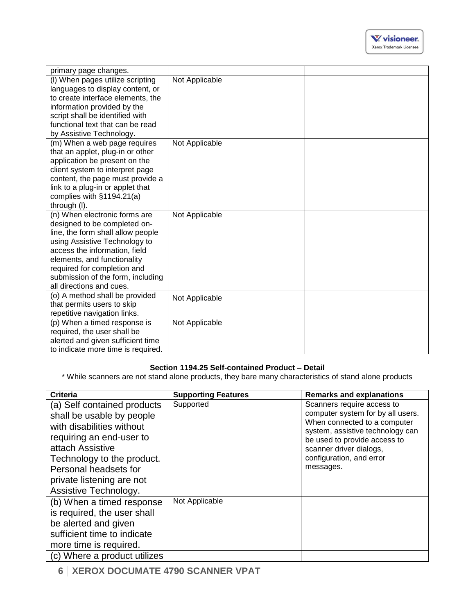| primary page changes.                                             |                |  |
|-------------------------------------------------------------------|----------------|--|
| (I) When pages utilize scripting                                  | Not Applicable |  |
| languages to display content, or                                  |                |  |
| to create interface elements, the                                 |                |  |
| information provided by the                                       |                |  |
| script shall be identified with                                   |                |  |
| functional text that can be read                                  |                |  |
| by Assistive Technology.                                          |                |  |
| (m) When a web page requires                                      | Not Applicable |  |
| that an applet, plug-in or other                                  |                |  |
| application be present on the                                     |                |  |
| client system to interpret page                                   |                |  |
| content, the page must provide a                                  |                |  |
| link to a plug-in or applet that                                  |                |  |
| complies with $§1194.21(a)$                                       |                |  |
| through (I).                                                      |                |  |
| (n) When electronic forms are                                     | Not Applicable |  |
| designed to be completed on-<br>line, the form shall allow people |                |  |
| using Assistive Technology to                                     |                |  |
| access the information, field                                     |                |  |
| elements, and functionality                                       |                |  |
| required for completion and                                       |                |  |
| submission of the form, including                                 |                |  |
| all directions and cues.                                          |                |  |
| (o) A method shall be provided                                    | Not Applicable |  |
| that permits users to skip                                        |                |  |
| repetitive navigation links.                                      |                |  |
| (p) When a timed response is                                      | Not Applicable |  |
| required, the user shall be                                       |                |  |
| alerted and given sufficient time                                 |                |  |
| to indicate more time is required.                                |                |  |

## **Section 1194.25 Self-contained Product – Detail**

\* While scanners are not stand alone products, they bare many characteristics of stand alone products

| Criteria                                                                                                                                                                                                                                           | <b>Supporting Features</b> | <b>Remarks and explanations</b>                                                                                                                                                                                                         |
|----------------------------------------------------------------------------------------------------------------------------------------------------------------------------------------------------------------------------------------------------|----------------------------|-----------------------------------------------------------------------------------------------------------------------------------------------------------------------------------------------------------------------------------------|
| (a) Self contained products<br>shall be usable by people<br>with disabilities without<br>requiring an end-user to<br>attach Assistive<br>Technology to the product.<br>Personal headsets for<br>private listening are not<br>Assistive Technology. | Supported                  | Scanners require access to<br>computer system for by all users.<br>When connected to a computer<br>system, assistive technology can<br>be used to provide access to<br>scanner driver dialogs,<br>configuration, and error<br>messages. |
| (b) When a timed response<br>is required, the user shall<br>be alerted and given<br>sufficient time to indicate<br>more time is required.                                                                                                          | Not Applicable             |                                                                                                                                                                                                                                         |
| (c) Where a product utilizes                                                                                                                                                                                                                       |                            |                                                                                                                                                                                                                                         |

**6 XEROX DOCUMATE 4790 SCANNER VPAT**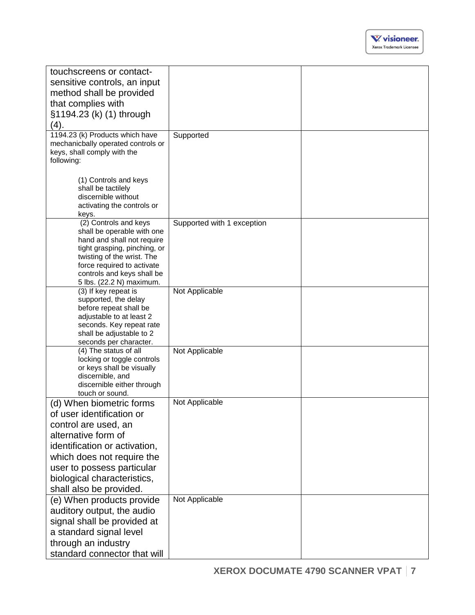| touchscreens or contact-                                          |                            |  |
|-------------------------------------------------------------------|----------------------------|--|
| sensitive controls, an input                                      |                            |  |
| method shall be provided                                          |                            |  |
|                                                                   |                            |  |
| that complies with                                                |                            |  |
| §1194.23 (k) (1) through                                          |                            |  |
| (4).                                                              |                            |  |
| 1194.23 (k) Products which have                                   | Supported                  |  |
| mechanicbally operated controls or<br>keys, shall comply with the |                            |  |
| following:                                                        |                            |  |
|                                                                   |                            |  |
| (1) Controls and keys                                             |                            |  |
| shall be tactilely                                                |                            |  |
| discernible without                                               |                            |  |
| activating the controls or                                        |                            |  |
| keys.<br>(2) Controls and keys                                    | Supported with 1 exception |  |
| shall be operable with one                                        |                            |  |
| hand and shall not require                                        |                            |  |
| tight grasping, pinching, or                                      |                            |  |
| twisting of the wrist. The                                        |                            |  |
| force required to activate<br>controls and keys shall be          |                            |  |
| 5 lbs. (22.2 N) maximum.                                          |                            |  |
| (3) If key repeat is                                              | Not Applicable             |  |
| supported, the delay                                              |                            |  |
| before repeat shall be                                            |                            |  |
| adjustable to at least 2<br>seconds. Key repeat rate              |                            |  |
| shall be adjustable to 2                                          |                            |  |
| seconds per character.                                            |                            |  |
| (4) The status of all                                             | Not Applicable             |  |
| locking or toggle controls                                        |                            |  |
| or keys shall be visually<br>discernible, and                     |                            |  |
| discernible either through                                        |                            |  |
| touch or sound.                                                   |                            |  |
| (d) When biometric forms                                          | Not Applicable             |  |
| of user identification or                                         |                            |  |
| control are used, an                                              |                            |  |
| alternative form of                                               |                            |  |
| identification or activation,                                     |                            |  |
| which does not require the                                        |                            |  |
| user to possess particular                                        |                            |  |
| biological characteristics,                                       |                            |  |
| shall also be provided.                                           |                            |  |
| (e) When products provide                                         | Not Applicable             |  |
| auditory output, the audio                                        |                            |  |
|                                                                   |                            |  |
| signal shall be provided at                                       |                            |  |
| a standard signal level                                           |                            |  |
| through an industry                                               |                            |  |
| standard connector that will                                      |                            |  |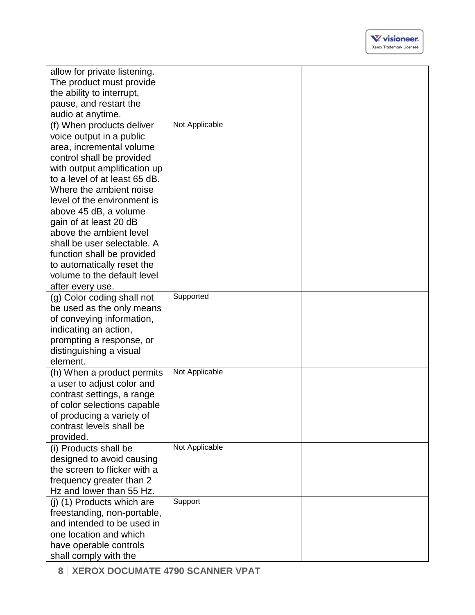| allow for private listening.                          |                |  |
|-------------------------------------------------------|----------------|--|
| The product must provide                              |                |  |
| the ability to interrupt,                             |                |  |
| pause, and restart the                                |                |  |
| audio at anytime.                                     | Not Applicable |  |
| (f) When products deliver                             |                |  |
| voice output in a public                              |                |  |
| area, incremental volume<br>control shall be provided |                |  |
| with output amplification up                          |                |  |
| to a level of at least 65 dB.                         |                |  |
| Where the ambient noise                               |                |  |
| level of the environment is                           |                |  |
| above 45 dB, a volume                                 |                |  |
| gain of at least 20 dB                                |                |  |
| above the ambient level                               |                |  |
| shall be user selectable. A                           |                |  |
| function shall be provided                            |                |  |
| to automatically reset the                            |                |  |
| volume to the default level                           |                |  |
| after every use.                                      |                |  |
| (g) Color coding shall not                            | Supported      |  |
| be used as the only means                             |                |  |
| of conveying information,                             |                |  |
| indicating an action,                                 |                |  |
| prompting a response, or                              |                |  |
| distinguishing a visual                               |                |  |
| element.<br>(h) When a product permits                | Not Applicable |  |
| a user to adjust color and                            |                |  |
| contrast settings, a range                            |                |  |
| of color selections capable                           |                |  |
| of producing a variety of                             |                |  |
| contrast levels shall be                              |                |  |
| provided.                                             |                |  |
| (i) Products shall be                                 | Not Applicable |  |
| designed to avoid causing                             |                |  |
| the screen to flicker with a                          |                |  |
| frequency greater than 2                              |                |  |
| Hz and lower than 55 Hz.                              |                |  |
| (i) (1) Products which are                            | Support        |  |
| freestanding, non-portable,                           |                |  |
| and intended to be used in                            |                |  |
| one location and which                                |                |  |
| have operable controls                                |                |  |
| shall comply with the                                 |                |  |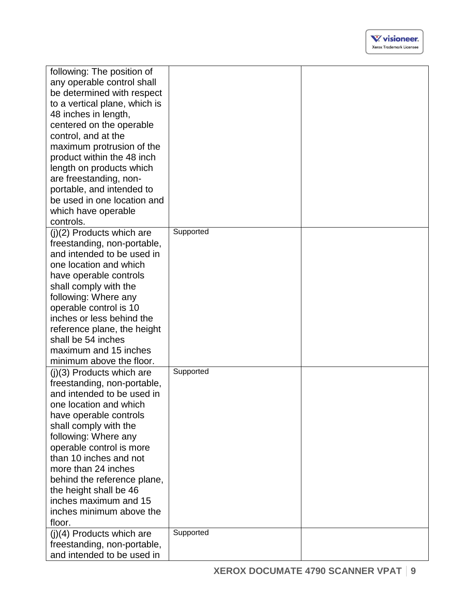| following: The position of    |           |  |
|-------------------------------|-----------|--|
| any operable control shall    |           |  |
| be determined with respect    |           |  |
| to a vertical plane, which is |           |  |
| 48 inches in length,          |           |  |
| centered on the operable      |           |  |
| control, and at the           |           |  |
| maximum protrusion of the     |           |  |
| product within the 48 inch    |           |  |
| length on products which      |           |  |
| are freestanding, non-        |           |  |
| portable, and intended to     |           |  |
| be used in one location and   |           |  |
| which have operable           |           |  |
| controls.                     |           |  |
| $(j)(2)$ Products which are   | Supported |  |
| freestanding, non-portable,   |           |  |
| and intended to be used in    |           |  |
| one location and which        |           |  |
| have operable controls        |           |  |
| shall comply with the         |           |  |
| following: Where any          |           |  |
| operable control is 10        |           |  |
| inches or less behind the     |           |  |
| reference plane, the height   |           |  |
| shall be 54 inches            |           |  |
| maximum and 15 inches         |           |  |
| minimum above the floor.      |           |  |
| $(i)(3)$ Products which are   | Supported |  |
| freestanding, non-portable,   |           |  |
| and intended to be used in    |           |  |
| one location and which        |           |  |
| have operable controls        |           |  |
| shall comply with the         |           |  |
| following: Where any          |           |  |
| operable control is more      |           |  |
| than 10 inches and not        |           |  |
| more than 24 inches           |           |  |
| behind the reference plane,   |           |  |
| the height shall be 46        |           |  |
| inches maximum and 15         |           |  |
| inches minimum above the      |           |  |
| floor.                        |           |  |
| $(j)(4)$ Products which are   | Supported |  |
| freestanding, non-portable,   |           |  |
| and intended to be used in    |           |  |
|                               |           |  |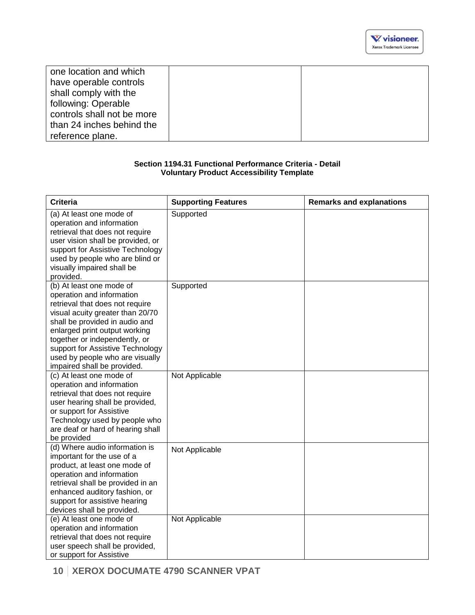| one location and which     |  |
|----------------------------|--|
| have operable controls     |  |
| shall comply with the      |  |
| following: Operable        |  |
| controls shall not be more |  |
| than 24 inches behind the  |  |
| reference plane.           |  |

### **Section 1194.31 Functional Performance Criteria - Detail Voluntary Product Accessibility Template**

| <b>Criteria</b>                                                                                                                                                                                                                                                                                                                        | <b>Supporting Features</b> | <b>Remarks and explanations</b> |
|----------------------------------------------------------------------------------------------------------------------------------------------------------------------------------------------------------------------------------------------------------------------------------------------------------------------------------------|----------------------------|---------------------------------|
| (a) At least one mode of<br>operation and information<br>retrieval that does not require<br>user vision shall be provided, or<br>support for Assistive Technology<br>used by people who are blind or<br>visually impaired shall be<br>provided.                                                                                        | Supported                  |                                 |
| (b) At least one mode of<br>operation and information<br>retrieval that does not require<br>visual acuity greater than 20/70<br>shall be provided in audio and<br>enlarged print output working<br>together or independently, or<br>support for Assistive Technology<br>used by people who are visually<br>impaired shall be provided. | Supported                  |                                 |
| (c) At least one mode of<br>operation and information<br>retrieval that does not require<br>user hearing shall be provided,<br>or support for Assistive<br>Technology used by people who<br>are deaf or hard of hearing shall<br>be provided                                                                                           | Not Applicable             |                                 |
| (d) Where audio information is<br>important for the use of a<br>product, at least one mode of<br>operation and information<br>retrieval shall be provided in an<br>enhanced auditory fashion, or<br>support for assistive hearing<br>devices shall be provided.                                                                        | Not Applicable             |                                 |
| (e) At least one mode of<br>operation and information<br>retrieval that does not require<br>user speech shall be provided,<br>or support for Assistive                                                                                                                                                                                 | Not Applicable             |                                 |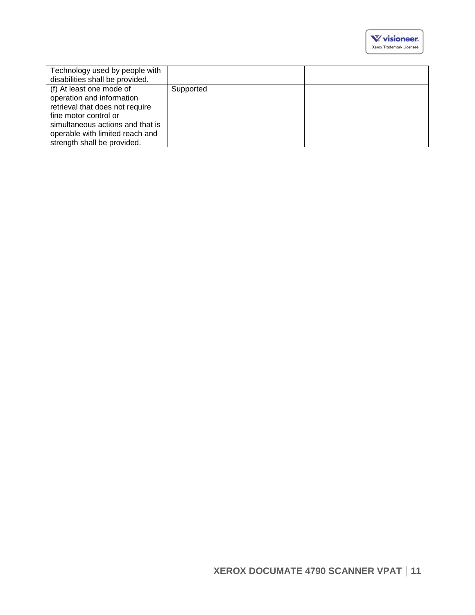| Technology used by people with   |           |  |
|----------------------------------|-----------|--|
| disabilities shall be provided.  |           |  |
| (f) At least one mode of         | Supported |  |
| operation and information        |           |  |
| retrieval that does not require  |           |  |
| fine motor control or            |           |  |
| simultaneous actions and that is |           |  |
| operable with limited reach and  |           |  |
| strength shall be provided.      |           |  |